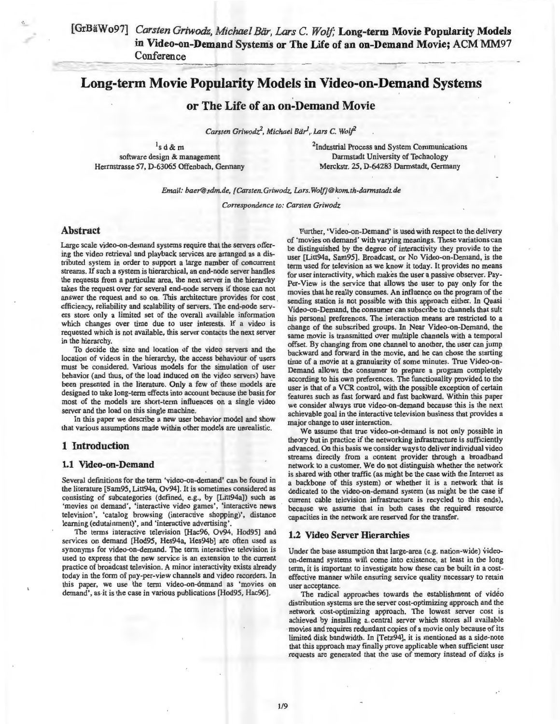# [GrBäW097] Carsten Griwodz, Michael Bär, Lars C. Wolf; Long-term Movie Popularity Models in Video-on-Demand Systems or The Life of an on-Demand Movie; ACM MM97 **Conference**

# Long-term Movie Popularity Models in Video-on-Demand Systems

## or The Life of an on-Demand Movie

*Carsten Griwodl, Michael Bär1, Lars* C. *Wolf* 

 $1$ s d & m software design & management Herrnstrasse 57, D-63065 Offenbach, Germany <sup>2</sup>Industrial Process and System Communications Darmstadt University of Technology Merckstr. 25, D-64283 Darmstadt, Germany

*Email: baer@sdm.de, {Carsten.Griwodz, Lars. Wolfj@kom.th-darmstadt.de* 

*Correspondence to: Carsten Griwodz* 

## Abstract

.  $\epsilon$ 

> Large scale video-on-demand systems require that the servers offering the video retrieval and playback services are arranged as a distributed system in order to support a large number of concurrent streams. If such a system is hierarchical, an end-node server handles the requests from a particular area, the next server in the hierarchy takes the request over for several end-node servers if those can not ans wer the request and so on. This architecture provides for cost . efficiency, reliability and scalability of servers. The end-node servers store only a limited set of the overall available information which changes over time due to user interests. If a video is requested which is not available, this server contacts the next server in the hierarchy.

> To decide the size and location of the video servers and the location of videos in the hierarchy, the access behaviour of users must be considered. Various models for the simulation of user behavior (and thus, of the load induced on the video servers) have been presented in the literature. Only a few of these models are designed to take long-term effects into account because the basis for most of the models are short-term influences on a single video server and the load on this single machine.

> In this paper we describe a new user behavior model and show that various assumptions made within other models are unrealistic.

## 1 Introduction

#### 1.1 Video-on-Demand

Several definitions for the term 'video-on-demand' can be found in the literature [Sam95, Litt94a, Ov94]. lt is sometimes considered as consisting of subcategories (defined, e.g., by [Litt94a]) such as 'movies on demand', 'interactive video games', 'interactive news television', 'catalog browsing (interactive shopping)', distance Jearning (edutainment)', and 'interactive advertising'.

The terms interactive television [Hac96, Ov94, Hod95] and services on demand [Hod95, Hes94a, Hes94b] are often used as synonyms for video-on-demand. The term interactive television is used to express that the new service is an extension to the current practice of broadcast television. A minor interactivity exists already today in the form of pay-per-view channels and video recorders. In this paper, we use the term video-on-demand as 'movies on demand', as·it is the case in various publications [Hod95, Hac96].

Further, 'Video-on-Demand' is used with respect to the delivery of 'movies on demand' with varying meanings. These variations can be distinguished by the degree of interactivity they provide to the user [Litt94a, Sam95]. Broadcast, or No Video-on-Demand, is the term used for television as we know it today. lt provides no means for user interactivity, which makes the user a passive observer. Pay-Per-View is the service that allows the user to pay only for the movies that he really consumes. An influence on the program of the sending station is not possible with this approach either. In Quasi Video-on-Demand, the consumer can subscribe to channels that suit his personal preferences. The interaction means are restricted to a change of the subscribed groups. In Near Video-on-Demand, the same movie is transmitted over multiple channels with a temporal offset. By changing from one channel to another, the user can jump backward and forward in the movie, and he can chose the starting time of a movie at a granularity of some minutes. True Video-on-Demand allows the consumer to prepare a program completely according to his own preferences. The functionality provided to the user is that of a VCR control, with the possible exception of certain features such as fast forward and fast backward. Within this paper we consider always true video-on-demand because this is the next achievable goal in the interactive television business that provides a major change to user interaction.

We assume that true video-on-demand is not only possible in theory but in practice if the networking infrastructure is sufficiently advanced. On this basis we consider ways to deliver individual video streams directly from a content provider through a broadband network to a customer. We do not distinguish whether the network is shared with other traffic (as might be the case with the Internet as a backbone of this system) or whether it is a network that is dedicated to the video-on-demand system (as might be the case if current cable television infrastructure is recycled to this ends), because we assume that in both cases the required resource capacities in the network are reserved for the transfer.

#### 1.2 Video Server Hierarchies

Under the base assumption that large-area (e.g. nation-wide) videoon-demand systems will come into existence, at least in the long term, it is important to investigate how these can be built in a costeffective manner while ensuring service quality necessary to retain user acceptance.

The radical approaches towards the establishment of video distribution systems are the server cost-optimizing approach and the network cost-optimizing approach. The lowest server cost is achieved by installing a. central server which stores all available movies and requires redundant copies of a movie only because of its limited disk bandwidth. In [Tetz94], it is mentioned as a side-note that this approach may finally prove applicable when sufficient user requests are generated that the use of memory instead of disks is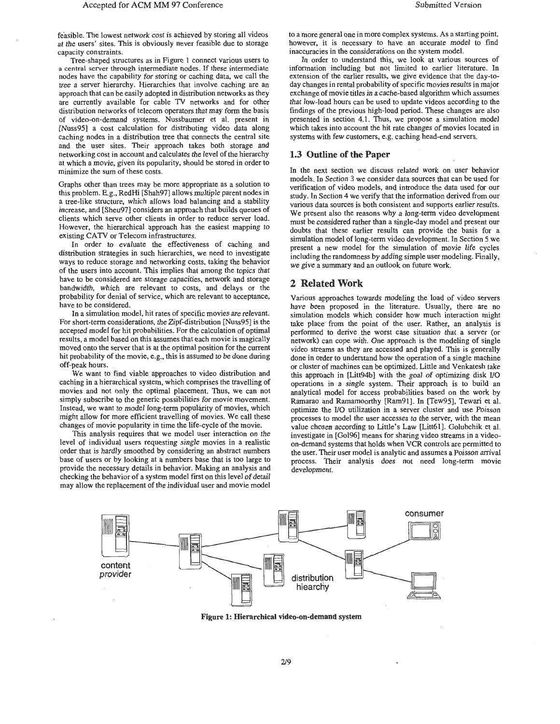Submitted Version

feasible. The lowest network cost is achieved by storing all videos at the users' sites. This is obviously never feasible due to storage capacity constraints.

Tree-shaped structures as in Figure 1 connect various users to a central server through interrnediate nodes. lf these interrnediate nodes have the capability for storing or caching data, we call the tree a server hierarchy. Hierarchies that involve caching are an approach that can be easily adopted in distribution networks as they are currently available for cable TV networks and for other distribution networks of telecom operators that may form the basis of video-on-demand systems. Nussbaumer et al. present in [Nuss95] a cost calculation for distributing video data along caching nodes in a distribution tree that connects the central site and the user sites. Their approach takes both storage and networking cost in account and calculates the level of the hierarchy at which a movie, given its popularity, should be stored in order to minimize the sum of these costs.

Graphs other than trees may be more appropriate as a solution to this problem. E.g., RedHi [Shah97] allows multiple parent nodes in a tree-like structure, which allows load balancing and a stability increase, and [Sheu97] considers an approach that builds queues of clients which serve other clients in order to reduce server load. However, the hierarchical approach has the easiest mapping to existing CATV or Telecom infrastructures.

In order to evaluate the effectiveness of caching and distribution strategies in such hierarchies, we need to investigate ways to reduce storage and networking costs, taking the behavior of the users into account. This implies that among the topics that have to be considered are storage capacities, network and storage bandwidth, which are relevant to costs, and delays or the probability for denial of service, which are relevant to acceptance, have to be considered.

In a simulation model, hit rates of specific movies are relevant. For short-term considerations, the Zipf-distribution [Nuss95] is the accepted model for hit probabilities. For the calculation of optimal results, a model based on this assumes that each movie is magically moved onto the server that is at the optimal position for the current hit probability of the movie, e.g., this is assumed to be done during off-peak hours.

We want to find viable approaches to video distribution and caching in a hierarchical system, which comprises the travelling of movies and not only the optimal placement. Thus, we can not simply subscribe to the generic possibilities for movie movement. Instead, we want to model long-term popularity of movies, which might allow for more efficient travelling of movies. We call these changes of movie popularity in time the life-cycle of the movie.

This analysis requires that we model user interaction on the level of individual users requesting single movies in a realistic order that is hardly smoothed by considering an abstract numbers base of users or by looking at a numbers base that is too large to provide the necessary details in behavior. Making an analysis and checking the behavior of a system model first on this level of detail may allow the replacement of the individual user and movie model to a more general one in more complex systems. As a starting point, however, it is necessary to have an accurate model to find inaccuracies in the considerations on the system model.

In order to understand this, we look at various sources of information induding but not limited to earlier literature. In extension of the earlier results, we give evidence that the day-today changes in rental probability of specific movies results in major exchange of movie titles in a cache-based algorithm which assumes that low-load hours can be used to update videos according to the findings of the previous high-load period. These changes are also presented in section 4.1. Thus, we propose a simulation model which takes into account the hit rate changes of movies located in systems with few customers, e.g. caching head-end servers.

#### 1.3 Outline of the Paper

In the next section we discuss related work on user behavior models. In Section 3 we consider data sources that can be used for verification of video models, and introduce the data used for our study. In Section 4 we verify that the information derived from our various data sources is both consistent and supports earlier results. We present also the reasons why a long-term video development must be considered rather than a single-day model and present our doubts that these earlier results can provide the basis for a simulation model of long-term video development. In Section 5 we present a new model for the simulation of movie life cydes induding the randomness by adding simple user modeling. Finally, we give a summary and an outlook on future work.

## 2 Related Work

Various approaches towards modeling the load of video servers have been proposed in the literature. Usually, there are no simulation models which consider how much interaction might take place from the point of the user. Rather, an analysis is performed to derive the worst case situation that a server (or network) can cope with. One approach is the modeling of single video streams as they are accessed and played. This is generally done in order to understand how the operation of a single machine or duster of machines can be optimized. Little and Venkatesh take this approach in [Litt94b] with the goal of optimizing disk 1/0 operations in a single system. Their approach is to build an analytical model for access probabilities based on the work by Ramarao and Ramamoorthy [Ram91]. In [Tew95], Tewari et al. optimize the 1/0 utilization in a server duster and use Poisson processes to model the user accesses to the server, with the mean value chosen according to Little's Law [Litt61]. Golubchik et al. investigate in [Gol96] means for sharing video streams in a videoon-demand systems that holds when VCR controls are permitted to the user. Their user model is analytic and assumes a Poisson arrival process. Their analysis does not need long-term movie development.



Figure 1: Hierarchical video-on-demand system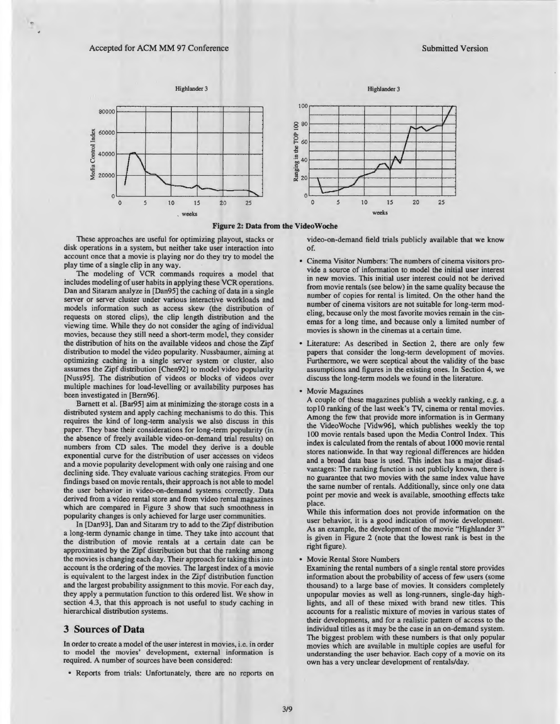

Figure 2: Data from the Video Woche

These approaches are useful for optimizing playout, stacks or disk operations in a system, but neither take user interaction into account once that a movie is playing nor do they *try* to model the play time of a single clip in any way.

The modeling of VCR commands requires a model that includes modeling of user habits in applying these VCR Operations. Dan and Sitaram analyze in [Dan95] the caching of data in a single server or server cluster under various interactive workloads and models information such as access skew (the distribution of requests on stored clips), the clip length distribution and the viewing time. While they do not consider the aging of individual movies, because they still need a short-term model, they consider the distribution of hits on the available videos and chose the Zipf distribution to model the video popularity. Nussbaumer, aiming at optimizing caching in a single server system or cluster, also assumes the Zipf distribution [Chen92] to model video popularity [Nuss95]. The distribution of videos or blocks of videos over multiple machines for load-levelling or availability purposes has been investigated in [Bern96].

Barnett et al. [Bar95] aim at minimizing the·storage costs in a distributed system and apply caching mechanisms to do this. This requires the kind of long-term analysis we also discuss in this paper. They base their considerations for long-term popularity (in the absence of freely available video-on-demand trial results) on numbers from CD sales. The model they derive is a double exponential curve for the distribution of user accesses on videos and a movie popularity development with only one raising and one declining side. They evaluate various caching strategies. From our findings based on movie rentals, their approach is not able to model the user behavior in video-on-demand systems correctly. Data derived from a video rental store and from video rental magazines which are compared in Figure 3 show that such smoothness in popularity changes is only achieved for !arge user communities.

In [Dan93], Dan and Sitaram try to add to the Zipf distribution a long-term dynamic change in time. They take into account that the distribution of movie rentals at a certain date can be approximated by the Zipf distribution but that the ranking among the movies is changing each day. Their approach for taking this into account is the ordering of the movies. The largest index of a movie is equivalent to the largest index in the Zipf distribution function and the largest probability assignment to this movie. For each day, they apply a permutation function to this ordered list. We show in section 4.3, that this approach is not useful to study caching in hierarchical distribution systems.

## 3 Sources of Data

In order to create a model of the user interest in movies, i.e. in order to model the movies' development, external information is required. A number of sources have been considered:

• Reports from trials: Unfortunately, there are no reports on

video-on-demand field trials publicly available that we know of.

- Cinema Visitor Numbers: The numbers of cinema visitors provide a source of information to model the initial user interest in new movies. This initial user interest could not be derived from movie rentals (see below) in the same quality because the number of copies for rental is limited. On the other hand the number of cinema visitors are not suitable for long-term modeling, because only the most favorite movies remain in the cinemas for a long time, and because only a limited number of movies is shown in the cinemas at a certain time.
- Literature: As described in Section 2, there are only few papers that consider the long-term development of movies. Furthermore, we were sceptical about the validity of the base assumptions and figures in the existing ones. In Section 4, we discuss the long-term models we found in the literature.
- Movie Magazines

A couple of these magazines publish a weekly ranking, e.g. a top!O ranking of the last week's TV, cinema or rental movies. Among the few that provide more information is in Germany the VideoWoche [Vidw96], which publishes weekly the top 100 movie rentals based upon the Media Control Index. This index is calculated from the rentals of about 1000 movie rental stores nationwide. In that way regional differences are hidden and a broad data base is used. This index has a major disadvantages: The ranking function is not publicly known, there is no guarantee that two movies with the same index value have the same number of rentals. Additionally, since only one data point per movie and week is available, smoothing effects take place.

While this information does not provide information on the user behavior, it is a good indication of movie development. As an example, the development of the movie "Highlander 3" is given in Figure 2 (note that the lowest rank is best in the right figure).

Movie Rental Store Numbers

Examining the rental numbers of a single rental store provides information about the probability of access of few users (some thousand) to a large base of movies. It considers completely unpopular movies as weil as long-runners, single-day highlights, and all of these mixed with brand new titles. This accounts for a realistic mixture of movies in various states of their developments, and for a realistic pattern of access to the individual titles as it may be the case in an on-demand system. The biggest problem with these numbers is that only popular movies which are available in multiple copies are useful for understanding the user behavior. Each copy of a movie on its own has a very unclear development of rentals/day.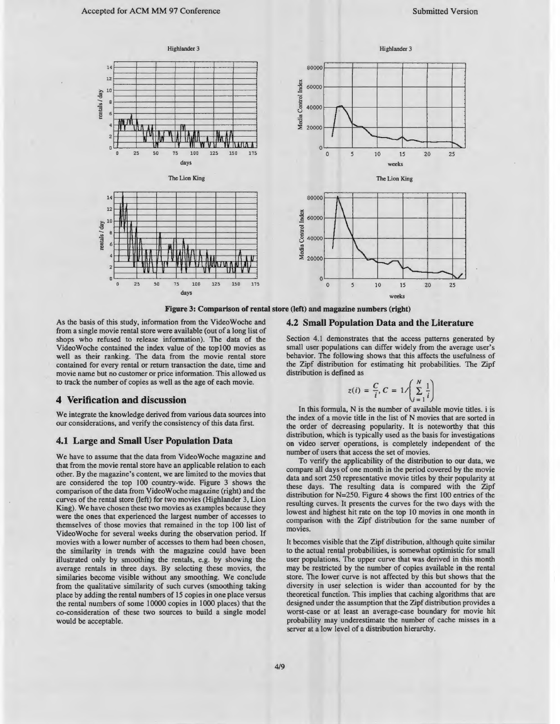

Figure 3: Comparison of rental store (left) and magazine numbers (right)

As the basis of this study, information from the Video Woche and from a single movie rental store were available (out of a long list of shops who refused to release information). The data of the Video Woche contained the index value of the toplOO movies as weil as their ranking. The data from the movie rental store contained for every rental or return transaction the date, time and movie name but no customer or price information. This allowed us to track the number of copies as well as the age of each movie.

#### 4 Verification and discussion

We integrate the knowledge derived from various data sources into our considerations, and verify the consistency of this data first.

#### 4.1 Large and Small User Population Data

We have to assume that the data from Video Woche magazine and that from the movie rental store have an applicable relation to each other. By the magazine's content, we are limited to the movies that are considered the top 100 country-wide. Figure 3 shows the comparison of the data from Video Woche magazine (right) and the curves of the rental store (left) for two movies (Highlander 3, Lion King). We have chosen these two movies as examples because they were the ones that experienced the largest number of accesses to themselves of those movies that remained in the top 100 list of VideoWoche for several weeks during the observation period. If movies with a lower number of accesses to them had been chosen, the similarity in trends with the magazine could have been illustrated only by smoothing the rentals, e.g. by showing the average rentals in three days. By selecting these movies, the similaries become visible without any smoothing. We conclude from the qualitative similarity of such curves (smoothing taking place by adding the rental numbers of 15 copies in one place versus the rental numbers of some 10000 copies in 1000 places) that the co-consideration of these two sources to build a single model would be acceptable.

#### 4.2 Small Population Data and the Literature

Section 4.1 demonstrates that the access patterns generated by small user populations can differ widely from the average user's behavior. The following shows that this affects the usefulness of the Zipf distribution for estimating hit probabilities. The Zipf distribution is defined as

$$
z(i) = \frac{C}{i}, C = 1/\left(\sum_{i=1}^{N} \frac{1}{i}\right)
$$

In this formula, N is the number of available movie titles. i is the index of a movie title in the list of N movies that are sorted in the order of decreasing popularity. lt is noteworthy that this distribution, which is typically used as the basis for investigations on video server operations, is completely independent of the number of users that access the set of movies.

To verify the applicability of the distribution to our data, we compare all days of one month in the period covered by the movie data and sort 250 representative movie titles by their popularity at these days. The resulting data is compared with the Zipf distribution for N=250. Figure 4 shows the first 100 entries of the resulting curves. lt presents the curves for the two days with the lowest and highest hit rate on the top 10 movies in one month in comparison with the Zipf distribution for the same number of movies.

lt becomes visible that the Zipf distribution, although quite similar to the actual rental probabilities, is somewhat optimistic for small user populations. The upper curve that was derived in this month may be restricted by the number of copies available in the rental store. The lower curve is not affected by this but shows that the diversity in user selection is wider than accounted for by the theoretical function. This implies that caching algorithms that are designed under the assumption that the Zipf distribution provides a worst-case or at least an average-case boundary for movie hit probability may underestimate the number of cache misses in a server at a low level of a distribution hierarchy.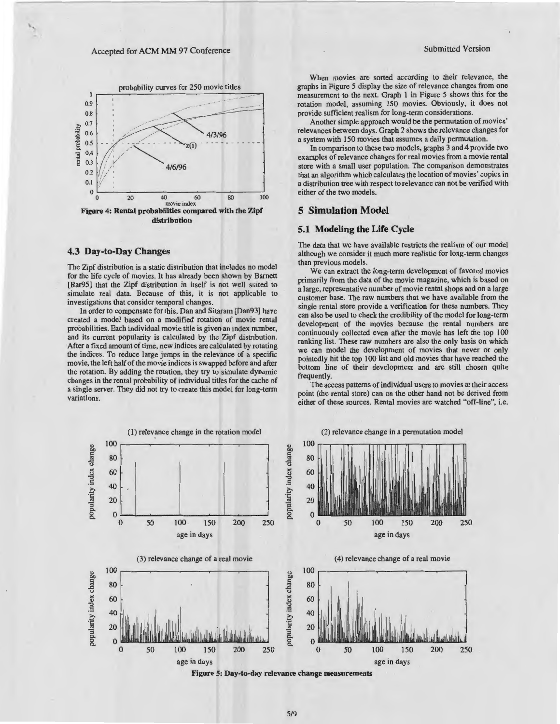#### Accepted for ACM MM 97 Conference

#### Submitted Version



## 4.3 Day-to-Day Changes

\.

The Zipf distribution is a static distribution that includes no model for the life cycle of movies. lt has already been shown by Barnett [Bar95] that the Zipf distribution in itself is not weil suited to simulate real data. Because of this, it is not applicable to investigations that consider temporal changes.

In order to compensate for this, Dan and Sitaram [Dan93] have created a model based on a modified rotation of movie rental probabilities. Each individual movie title is given an index number, and its current popularity is calculated by the Zipf distribution. After a fixed amount of time, new indices are calculated by rotating the indices. To reduce large jumps in the relevance of a specific movie, the left half of the movie indices is swapped before and after the rotation. By adding the rotation, they try to simulate dynamic changes in the rental probability of individual titles for the cache of a single server. They did not try to create this model for long-term variations.

When movies are sorted according to their relevance, the graphs in Figure *5* display the size of relevance changes from one measurement to the next. Graph 1 in Figure *5* shows this for the rotation model, assuming 150 movies. Obviously, it does not provide sufficient realism for long-term considerations.

Another simple approach would be the permutation of movies' relevances between days. Graph 2 shows the relevance changes for a system with 150 movies that assumes a daily permutation.

In comparison to these two models, graphs 3 and 4 provide two examples of relevance changes for real movies from a movie rental store with a small user population. The comparison demonstrates that an algorithm which calculates the location of movies' copies in a distribution tree with respect to relevance can not be verified with either of the two models.

## 5 Simulation Model

### 5.1 Modeling the Life Cycle

The data that we have available restricts the realism of our model although we consider it much more realistic for long-term changes than previous models.

We can extract the long-term development of favored movies primarily from the data of the movie magazine, which is based on a large, representative number of movie rental shops and on a large customer base. The raw numbers that we have available from the single rental store provide a verification for these numbers. They can also be used to check the credibility of the model for long-term development of the movies because the rental numbers are continuously collected even after the movie has left the top 100 ranking list. These raw numbers are also the only basis on which we can model the development of movies that never or only pointedly hit the top 100 list and old movies that have reached the bottom line of their development and are still chosen quite frequently.

The access patterns of individual users to movies at their access point (the rental store) can on the other hand not be derived from either of these sources. Rental movies are watched "off-line", i.e.



*519*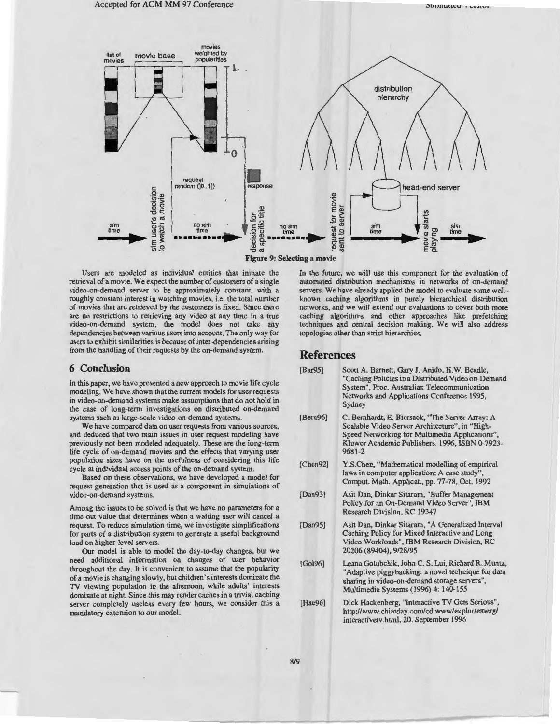Accepted for ACM MM 97 Conference

**.:'>UUlllJllt;U** \' '"-'• **.Jivu** 



Users are modeled as individual entities that initiate the retrieval of a movie. We expect the number of customers of a single video-on-demand server to be approximately constant, with a roughly constant interest in watching movies, i.e. the total number of movies that are retrieved by the customers is fixed. Since there are no restrictions to retrieving any video at any time in a true video-on-demand system, the model does not take any dependencies between various users into account. The only way for users to exhibit similarities is because of inter-dependencies arising from the handling of their requests by the on-demand system.

## **6 Conclusion**

In this paper, we have presented a new approach to movie life cycle modeling. We have shown that the current models for user requests in video-on-demand systems make assumptions that do not hold in the case of long-terrn investigations on distributed on-demand systems such as large-scale video-on-demand systems.

We have compared data on user requests from various sources, and deduced that two main issues in user request modeling have previously not been modeled adequately. These are the long-terrn life cycle of on-demand movies and the effects that varying user population sizes have on the usefulness of considering this life cycle at individual access points of the on-demand system.

Based on these observations, we have developed a model for request generation that is used as a component in simulations of video-on-demand systems.

Among the issues to be solved is that we have no parameters for a time-out value that determines when a waiting user will cancel a request. To reduce simulation time, we investigate simplifications for parts of a distribution system to generate a useful background load on higher-level servers.

Our model is able to model the day-to-day changes, but we need additional information on changes of user behavior throughout the day. It is convenient to assume that the popularity of a movie is changing slowly, but children's interests dominate the TV viewing population in the afternoon, while adults' interests dominate at night. Since this may render caches in a trivial caching server completely useless every few hours, we consider this a mandatory extension to our model.

In the future, we will use this component for the evaluation of automated distribution mechanisms in networks of on-demand servers. We have already applied the model to evaluate some wellknown caching algorithms in purely hierarchical distribution networks, and we will extend our evaluations to cover both more caching algorithms and other approaches like prefetching techniques and central decision making. We will also address topologies other than strict hierarchies.

## **References**

- [Bar95] Scott A. Barnett, Gary J. Anido, H.W. Beadle, "Caching Policies in a Distributed Video on-Demand System'', Proc . Australian Telecommunication Networks and Applications Conference 1995, Sydney
- [Bern96] C. Bernhardt, E. Biersack, "The Server Array: A Scalable Video Server Architecture", in "High-Speed Networking for Multimedia Applications", Kluwer Academic Publishers, 1996, ISBN 0-7923- 9681-2
- [Chen92] Y .S.Chen, "Mathematical modelling of empirical laws in computer application: A case study", Comput. Math. Applicat., pp. 77-78, Oct. 1992
- [Dan93] Asit Dan, Dinkar Sitaram, "Buffer Management Policy for an On-Demand Video Server", IBM Research Division, RC 19347
- [Dan95] Asit Dan, Dinkar Sitaram, "A Generalized Interval Caching Policy for Mixed lnteractive and Long Video Workloads", IBM Research Division, RC 20206 (89404), 9/28/95
- [Gol96] Leana Golubchik, John C. S. Lui, Richard R. Muntz, "Adaptive piggybacking: a novel technique for data sharing in video-on-demand storage servers", Multimedia Systems (1996) 4: 140-155
- [Hac96] Dick Hackenberg, "lnteractive TV Gets Serious", http://www.chiatday.com/cd. www /explor/emerg/ interactivetv.html, 20. September 1996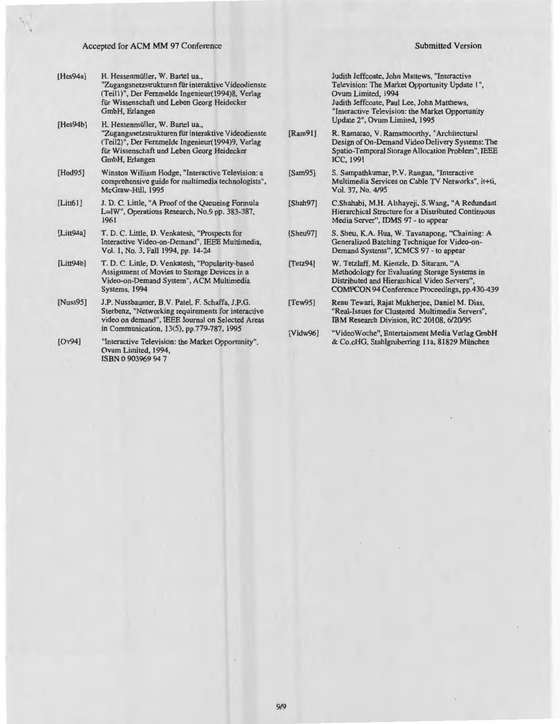#### Accepted for ACM MM 97 Conference

| Hes94al | H. Hessenmüller, W. Bartel ua.,                     |
|---------|-----------------------------------------------------|
|         | "Zugangsnetzstrukturen für interaktive Videodienste |
|         | (Teil1)", Der Fernmelde Ingenieur (1994) 8, Verlag  |
|         | für Wissenschaft und Leben Georg Heidecker          |
|         | GmbH, Erlangen                                      |
|         |                                                     |

- [Hes94b] H. Hessenmüller, W. Bartei ua., "Zugangsnetzstrukturen für interaktive Videodienste (Tei12)", Der Fernmelde Ingenieur(l994)9, Verlag für Wissenschaft und Leben Georg Heidecker GmbH, Erlangen
- [Hod95] Winston William Hodge, "Interactive Television: a comprehensive guide for multimedia technologists", McGraw-Hill, 1995
- [Litt61] J. D. C. Little, "A Proof of the Queueing Formula L=IW", Operations Research, No.9 pp. 383-387, 1961
- [Litt94a] T. D. C. Little, D. Venkatesh, "Prospects for Interactive Video-on-Demand", IEEE Multimedia, Vol. 1, No. 3, Fall 1994, pp. 14-24
- [Litt94b] T. D. C. Little, D. Venkatesh, "Popularity-based Assignment of Movies to Storage Devices in a Video-on-Demand System", ACM Multimedia Systems, 1994
- [Nuss95] J.P. Nussbaumer, B.V. Patel, F. Schaffa, J.P.G. Sterbenz, "Networking requirements for interactive video on demand", IEEE Journal on Selected Areas in Communication, 13(5), pp.779-787, 1995

[Ov94] "Interactive Television: the Market Opportunity", Ovum Limited, 1994, ISBN 0 903969 94 7

Judith Jeffcoate, John Mattews, "Interactive Television: The Market Opportunity Update 1", Ovum Limited, 1994 Judith Jeffcoate, Paul Lee, John Matthews, "Interactive Television: the Market Opportunity Update 2", Ovum Limited, 1995

- [Ram91] R. Ramarao, V. Ramamoorthy, "Architectural Design of On-Demand Video Delivery Systems: The Spatio-Temporal Storage Allocation Problem", IEEE ICC, 1991
- [Sam95] S. Sampathkumar, P.V. Rangan, "Interactive Multimedia Services on Cable TV Networks", it+ti, Vol. 37, No. 4195
- [Shah97] C.Shahabi, M.H. Alshayeji, S.Wang, "A Redundant Hierarchical Structure for a Distributed Continuous Media Server", IDMS 97 - to appear
- [Sheu97] S. Sheu, K.A. Hua, W. Tavanapong, "Chaining: A Generalized Batching Technique for Video-on-Demand Systems", ICMCS 97 - to appear
- [Tetz94] W. Tetzlaff, M. Kienzle, D. Sitaram, "A Methodology for Evaluating Storage Systems in Distributed and Hierarchical Video Servers", COMPCON 94 Conference Proceedings, pp.430-439
- [Tew95] Renu Tewari, Rajat Mukherjee, Daniel M. Dias, "Real-Issues for Clustered Multimedia Servers", IBM Research Division, RC 20108, 6/20/95
- [Vidw96] "Video Woche", Entertainment Media Verlag GmbH & Co.oHG, Stahlgruberring 11a, 81829 München